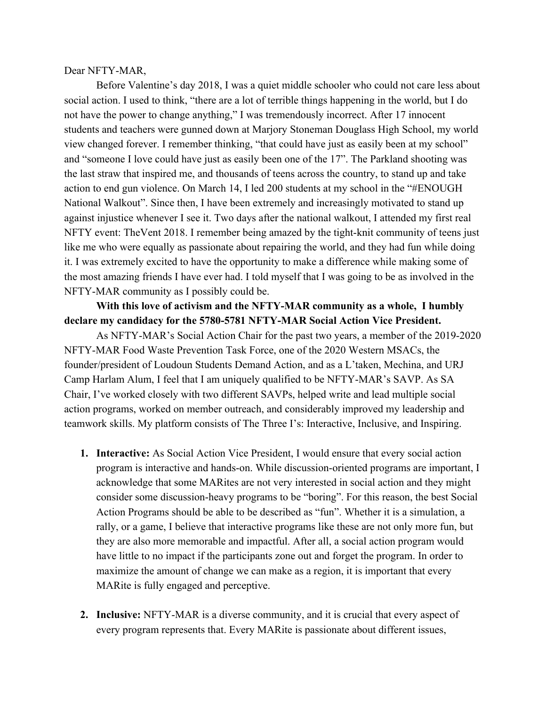## Dear NFTY-MAR,

Before Valentine's day 2018, I was a quiet middle schooler who could not care less about social action. I used to think, "there are a lot of terrible things happening in the world, but I do not have the power to change anything," I was tremendously incorrect. After 17 innocent students and teachers were gunned down at Marjory Stoneman Douglass High School, my world view changed forever. I remember thinking, "that could have just as easily been at my school" and "someone I love could have just as easily been one of the 17". The Parkland shooting was the last straw that inspired me, and thousands of teens across the country, to stand up and take action to end gun violence. On March 14, I led 200 students at my school in the "#ENOUGH National Walkout". Since then, I have been extremely and increasingly motivated to stand up against injustice whenever I see it. Two days after the national walkout, I attended my first real NFTY event: TheVent 2018. I remember being amazed by the tight-knit community of teens just like me who were equally as passionate about repairing the world, and they had fun while doing it. I was extremely excited to have the opportunity to make a difference while making some of the most amazing friends I have ever had. I told myself that I was going to be as involved in the NFTY-MAR community as I possibly could be.

## **With this love of activism and the NFTY-MAR community as a whole, I humbly declare my candidacy for the 5780-5781 NFTY-MAR Social Action Vice President.**

As NFTY-MAR's Social Action Chair for the past two years, a member of the 2019-2020 NFTY-MAR Food Waste Prevention Task Force, one of the 2020 Western MSACs, the founder/president of Loudoun Students Demand Action, and as a L'taken, Mechina, and URJ Camp Harlam Alum, I feel that I am uniquely qualified to be NFTY-MAR's SAVP. As SA Chair, I've worked closely with two different SAVPs, helped write and lead multiple social action programs, worked on member outreach, and considerably improved my leadership and teamwork skills. My platform consists of The Three I's: Interactive, Inclusive, and Inspiring.

- **1. Interactive:** As Social Action Vice President, I would ensure that every social action program is interactive and hands-on. While discussion-oriented programs are important, I acknowledge that some MARites are not very interested in social action and they might consider some discussion-heavy programs to be "boring". For this reason, the best Social Action Programs should be able to be described as "fun". Whether it is a simulation, a rally, or a game, I believe that interactive programs like these are not only more fun, but they are also more memorable and impactful. After all, a social action program would have little to no impact if the participants zone out and forget the program. In order to maximize the amount of change we can make as a region, it is important that every MARite is fully engaged and perceptive.
- **2. Inclusive:** NFTY-MAR is a diverse community, and it is crucial that every aspect of every program represents that. Every MARite is passionate about different issues,